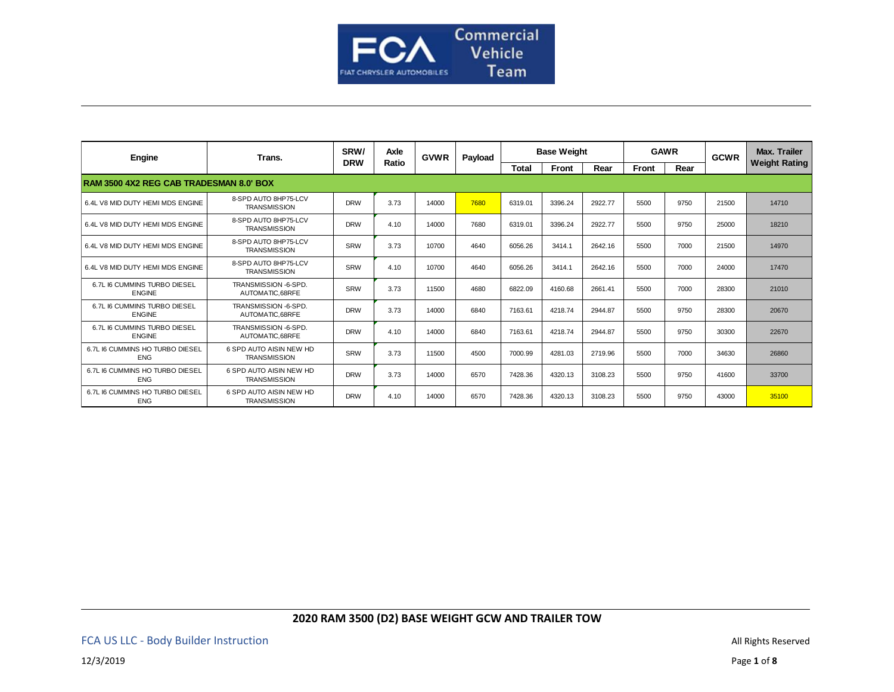

| Engine                                         | Trans.                                         | SRW/       | Axle  | <b>GVWR</b> | Payload | <b>Base Weight</b> |         |         | <b>GAWR</b> |      | <b>GCWR</b> | <b>Max. Trailer</b>  |
|------------------------------------------------|------------------------------------------------|------------|-------|-------------|---------|--------------------|---------|---------|-------------|------|-------------|----------------------|
|                                                |                                                | <b>DRW</b> | Ratio |             |         | <b>Total</b>       | Front   | Rear    | Front       | Rear |             | <b>Weight Rating</b> |
| <b>RAM 3500 4X2 REG CAB TRADESMAN 8.0' BOX</b> |                                                |            |       |             |         |                    |         |         |             |      |             |                      |
| 6.4L V8 MID DUTY HEMI MDS ENGINE               | 8-SPD AUTO 8HP75-LCV<br><b>TRANSMISSION</b>    | <b>DRW</b> | 3.73  | 14000       | 7680    | 6319.01            | 3396.24 | 2922.77 | 5500        | 9750 | 21500       | 14710                |
| 6.4L V8 MID DUTY HEMI MDS ENGINE               | 8-SPD AUTO 8HP75-LCV<br><b>TRANSMISSION</b>    | <b>DRW</b> | 4.10  | 14000       | 7680    | 6319.01            | 3396.24 | 2922.77 | 5500        | 9750 | 25000       | 18210                |
| 6.4L V8 MID DUTY HEMI MDS ENGINE               | 8-SPD AUTO 8HP75-LCV<br><b>TRANSMISSION</b>    | SRW        | 3.73  | 10700       | 4640    | 6056.26            | 3414.1  | 2642.16 | 5500        | 7000 | 21500       | 14970                |
| 6.4L V8 MID DUTY HEMI MDS ENGINE               | 8-SPD AUTO 8HP75-LCV<br><b>TRANSMISSION</b>    | SRW        | 4.10  | 10700       | 4640    | 6056.26            | 3414.1  | 2642.16 | 5500        | 7000 | 24000       | 17470                |
| 6.7L I6 CUMMINS TURBO DIESEL<br><b>ENGINE</b>  | TRANSMISSION -6-SPD.<br>AUTOMATIC.68RFE        | SRW        | 3.73  | 11500       | 4680    | 6822.09            | 4160.68 | 2661.41 | 5500        | 7000 | 28300       | 21010                |
| 6.7L I6 CUMMINS TURBO DIESEL<br><b>ENGINE</b>  | TRANSMISSION -6-SPD.<br>AUTOMATIC.68RFE        | <b>DRW</b> | 3.73  | 14000       | 6840    | 7163.61            | 4218.74 | 2944.87 | 5500        | 9750 | 28300       | 20670                |
| 6.7L I6 CUMMINS TURBO DIESEL<br><b>ENGINE</b>  | TRANSMISSION -6-SPD.<br>AUTOMATIC.68RFE        | <b>DRW</b> | 4.10  | 14000       | 6840    | 7163.61            | 4218.74 | 2944.87 | 5500        | 9750 | 30300       | 22670                |
| 6.7L I6 CUMMINS HO TURBO DIESEL<br><b>ENG</b>  | 6 SPD AUTO AISIN NEW HD<br><b>TRANSMISSION</b> | SRW        | 3.73  | 11500       | 4500    | 7000.99            | 4281.03 | 2719.96 | 5500        | 7000 | 34630       | 26860                |
| 6.7L I6 CUMMINS HO TURBO DIESEL<br><b>ENG</b>  | 6 SPD AUTO AISIN NEW HD<br><b>TRANSMISSION</b> | <b>DRW</b> | 3.73  | 14000       | 6570    | 7428.36            | 4320.13 | 3108.23 | 5500        | 9750 | 41600       | 33700                |
| 6.7L I6 CUMMINS HO TURBO DIESEL<br><b>ENG</b>  | 6 SPD AUTO AISIN NEW HD<br><b>TRANSMISSION</b> | <b>DRW</b> | 4.10  | 14000       | 6570    | 7428.36            | 4320.13 | 3108.23 | 5500        | 9750 | 43000       | 35100                |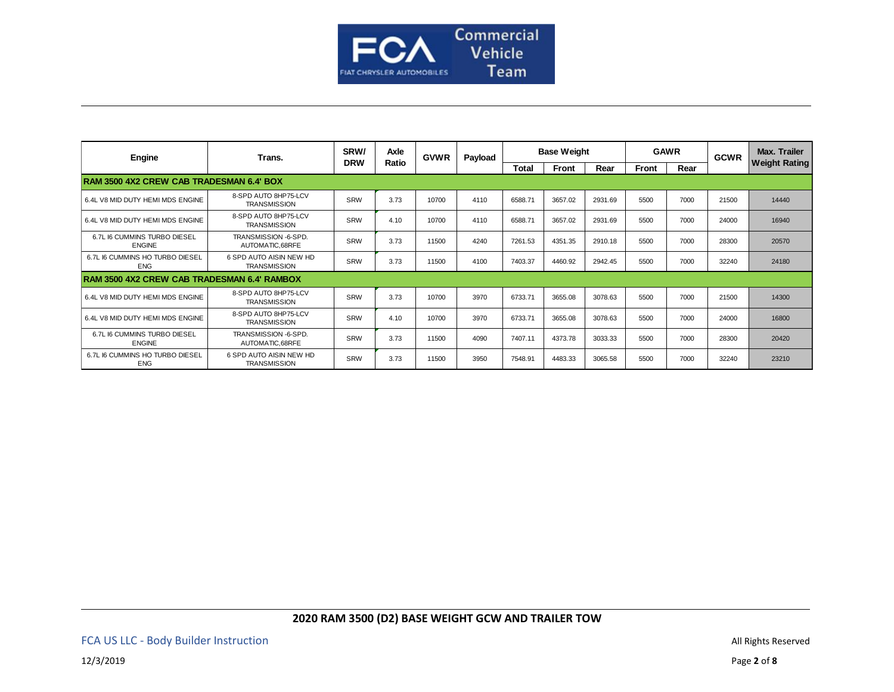

| Engine                                             | Trans.                                         | SRW/<br><b>DRW</b> | Axle<br>Ratio | <b>GVWR</b> | Payload | <b>Base Weight</b> |         |         | <b>GAWR</b> |      | <b>GCWR</b> | <b>Max. Trailer</b>  |
|----------------------------------------------------|------------------------------------------------|--------------------|---------------|-------------|---------|--------------------|---------|---------|-------------|------|-------------|----------------------|
|                                                    |                                                |                    |               |             |         | <b>Total</b>       | Front   | Rear    | Front       | Rear |             | <b>Weight Rating</b> |
| <b>RAM 3500 4X2 CREW CAB TRADESMAN 6.4' BOX</b>    |                                                |                    |               |             |         |                    |         |         |             |      |             |                      |
| 6.4L V8 MID DUTY HEMI MDS ENGINE                   | 8-SPD AUTO 8HP75-LCV<br><b>TRANSMISSION</b>    | SRW                | 3.73          | 10700       | 4110    | 6588.71            | 3657.02 | 2931.69 | 5500        | 7000 | 21500       | 14440                |
| 6.4L V8 MID DUTY HEMI MDS ENGINE                   | 8-SPD AUTO 8HP75-LCV<br><b>TRANSMISSION</b>    | SRW                | 4.10          | 10700       | 4110    | 6588.71            | 3657.02 | 2931.69 | 5500        | 7000 | 24000       | 16940                |
| 6.7L I6 CUMMINS TURBO DIESEL<br><b>ENGINE</b>      | TRANSMISSION -6-SPD.<br>AUTOMATIC,68RFE        | SRW                | 3.73          | 11500       | 4240    | 7261.53            | 4351.35 | 2910.18 | 5500        | 7000 | 28300       | 20570                |
| 6.7L I6 CUMMINS HO TURBO DIESEL<br><b>ENG</b>      | 6 SPD AUTO AISIN NEW HD<br><b>TRANSMISSION</b> | SRW                | 3.73          | 11500       | 4100    | 7403.37            | 4460.92 | 2942.45 | 5500        | 7000 | 32240       | 24180                |
| <b>RAM 3500 4X2 CREW CAB TRADESMAN 6.4' RAMBOX</b> |                                                |                    |               |             |         |                    |         |         |             |      |             |                      |
| 6.4L V8 MID DUTY HEMI MDS ENGINE                   | 8-SPD AUTO 8HP75-LCV<br><b>TRANSMISSION</b>    | SRW                | 3.73          | 10700       | 3970    | 6733.71            | 3655.08 | 3078.63 | 5500        | 7000 | 21500       | 14300                |
| 6.4L V8 MID DUTY HEMI MDS ENGINE                   | 8-SPD AUTO 8HP75-LCV<br><b>TRANSMISSION</b>    | SRW                | 4.10          | 10700       | 3970    | 6733.71            | 3655.08 | 3078.63 | 5500        | 7000 | 24000       | 16800                |
| 6.7L I6 CUMMINS TURBO DIESEL<br><b>ENGINE</b>      | TRANSMISSION -6-SPD.<br>AUTOMATIC.68RFE        | SRW                | 3.73          | 11500       | 4090    | 7407.11            | 4373.78 | 3033.33 | 5500        | 7000 | 28300       | 20420                |
| 6.7L I6 CUMMINS HO TURBO DIESEL<br><b>ENG</b>      | 6 SPD AUTO AISIN NEW HD<br><b>TRANSMISSION</b> | SRW                | 3.73          | 11500       | 3950    | 7548.91            | 4483.33 | 3065.58 | 5500        | 7000 | 32240       | 23210                |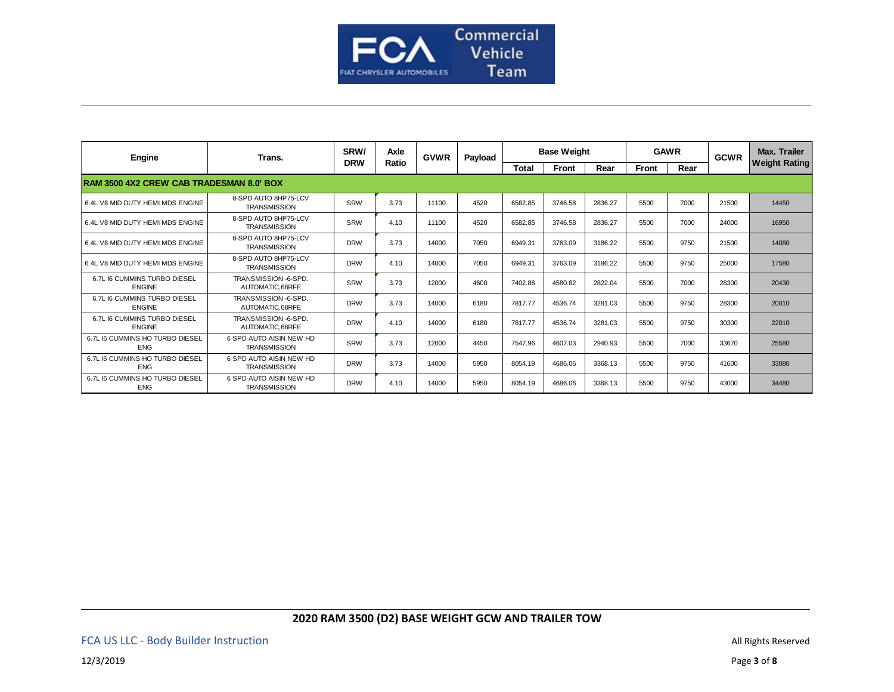

| Engine                                          | Trans.                                         | SRW/       | Axle  | <b>GVWR</b> | Payload | <b>Base Weight</b> |         |         | <b>GAWR</b>  |      | <b>GCWR</b> | Max. Trailer         |  |
|-------------------------------------------------|------------------------------------------------|------------|-------|-------------|---------|--------------------|---------|---------|--------------|------|-------------|----------------------|--|
|                                                 |                                                | <b>DRW</b> | Ratio |             |         | Total              | Front   | Rear    | <b>Front</b> | Rear |             | <b>Weight Rating</b> |  |
| <b>RAM 3500 4X2 CREW CAB TRADESMAN 8.0' BOX</b> |                                                |            |       |             |         |                    |         |         |              |      |             |                      |  |
| 6.4L V8 MID DUTY HEMI MDS ENGINE                | 8-SPD AUTO 8HP75-LCV<br><b>TRANSMISSION</b>    | SRW        | 3.73  | 11100       | 4520    | 6582.85            | 3746.58 | 2836.27 | 5500         | 7000 | 21500       | 14450                |  |
| 6.4L V8 MID DUTY HEMI MDS ENGINE                | 8-SPD AUTO 8HP75-LCV<br><b>TRANSMISSION</b>    | SRW        | 4.10  | 11100       | 4520    | 6582.85            | 3746.58 | 2836.27 | 5500         | 7000 | 24000       | 16950                |  |
| 6.4L V8 MID DUTY HEMI MDS ENGINE                | 8-SPD AUTO 8HP75-LCV<br><b>TRANSMISSION</b>    | <b>DRW</b> | 3.73  | 14000       | 7050    | 6949.31            | 3763.09 | 3186.22 | 5500         | 9750 | 21500       | 14080                |  |
| 6.4L V8 MID DUTY HEMI MDS ENGINE                | 8-SPD AUTO 8HP75-LCV<br><b>TRANSMISSION</b>    | <b>DRW</b> | 4.10  | 14000       | 7050    | 6949.31            | 3763.09 | 3186.22 | 5500         | 9750 | 25000       | 17580                |  |
| 6.7L I6 CUMMINS TURBO DIESEL<br><b>ENGINE</b>   | TRANSMISSION -6-SPD.<br>AUTOMATIC.68RFE        | SRW        | 3.73  | 12000       | 4600    | 7402.86            | 4580.82 | 2822.04 | 5500         | 7000 | 28300       | 20430                |  |
| 6.7L I6 CUMMINS TURBO DIESEL<br><b>ENGINE</b>   | TRANSMISSION -6-SPD.<br>AUTOMATIC.68RFE        | <b>DRW</b> | 3.73  | 14000       | 6180    | 7817.77            | 4536.74 | 3281.03 | 5500         | 9750 | 28300       | 20010                |  |
| 6.7L I6 CUMMINS TURBO DIESEL<br><b>ENGINE</b>   | TRANSMISSION -6-SPD.<br>AUTOMATIC.68RFE        | <b>DRW</b> | 4.10  | 14000       | 6180    | 7817.77            | 4536.74 | 3281.03 | 5500         | 9750 | 30300       | 22010                |  |
| 6.7L I6 CUMMINS HO TURBO DIESEL<br><b>ENG</b>   | 6 SPD AUTO AISIN NEW HD<br><b>TRANSMISSION</b> | SRW        | 3.73  | 12000       | 4450    | 7547.96            | 4607.03 | 2940.93 | 5500         | 7000 | 33670       | 25580                |  |
| 6.7L I6 CUMMINS HO TURBO DIESEL<br><b>ENG</b>   | 6 SPD AUTO AISIN NEW HD<br><b>TRANSMISSION</b> | <b>DRW</b> | 3.73  | 14000       | 5950    | 8054.19            | 4686.06 | 3368.13 | 5500         | 9750 | 41600       | 33080                |  |
| 6.7L I6 CUMMINS HO TURBO DIESEL<br><b>ENG</b>   | 6 SPD AUTO AISIN NEW HD<br><b>TRANSMISSION</b> | <b>DRW</b> | 4.10  | 14000       | 5950    | 8054.19            | 4686.06 | 3368.13 | 5500         | 9750 | 43000       | 34480                |  |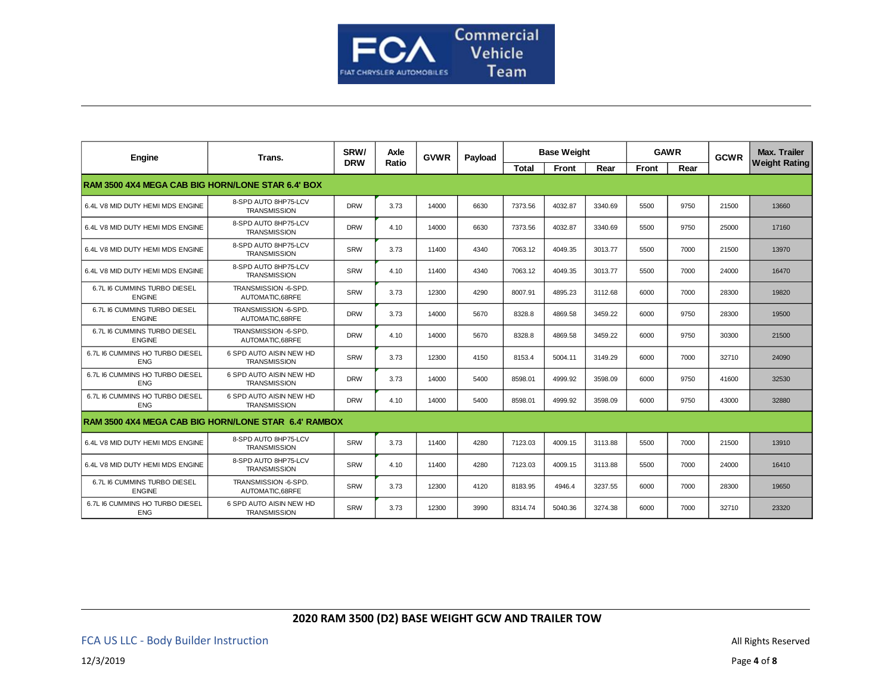

| Engine                                                   | Trans.                                         | SRW/<br>Axle | <b>GVWR</b> | Payload | <b>Base Weight</b> |              |         | <b>GAWR</b> |              | <b>GCWR</b> | <b>Max. Trailer</b> |                      |
|----------------------------------------------------------|------------------------------------------------|--------------|-------------|---------|--------------------|--------------|---------|-------------|--------------|-------------|---------------------|----------------------|
|                                                          |                                                | <b>DRW</b>   | Ratio       |         |                    | <b>Total</b> | Front   | Rear        | <b>Front</b> | Rear        |                     | <b>Weight Rating</b> |
| <b>RAM 3500 4X4 MEGA CAB BIG HORN/LONE STAR 6.4' BOX</b> |                                                |              |             |         |                    |              |         |             |              |             |                     |                      |
| 6.4L V8 MID DUTY HEMI MDS ENGINE                         | 8-SPD AUTO 8HP75-LCV<br><b>TRANSMISSION</b>    | <b>DRW</b>   | 3.73        | 14000   | 6630               | 7373.56      | 4032.87 | 3340.69     | 5500         | 9750        | 21500               | 13660                |
| 6.4L V8 MID DUTY HEMI MDS ENGINE                         | 8-SPD AUTO 8HP75-LCV<br><b>TRANSMISSION</b>    | <b>DRW</b>   | 4.10        | 14000   | 6630               | 7373.56      | 4032.87 | 3340.69     | 5500         | 9750        | 25000               | 17160                |
| 6.4L V8 MID DUTY HEMI MDS ENGINE                         | 8-SPD AUTO 8HP75-LCV<br><b>TRANSMISSION</b>    | SRW          | 3.73        | 11400   | 4340               | 7063.12      | 4049.35 | 3013.77     | 5500         | 7000        | 21500               | 13970                |
| 6.4L V8 MID DUTY HEMI MDS ENGINE                         | 8-SPD AUTO 8HP75-LCV<br><b>TRANSMISSION</b>    | SRW          | 4.10        | 11400   | 4340               | 7063.12      | 4049.35 | 3013.77     | 5500         | 7000        | 24000               | 16470                |
| 6.7L I6 CUMMINS TURBO DIESEL<br><b>ENGINE</b>            | TRANSMISSION -6-SPD.<br>AUTOMATIC.68RFE        | <b>SRW</b>   | 3.73        | 12300   | 4290               | 8007.91      | 4895.23 | 3112.68     | 6000         | 7000        | 28300               | 19820                |
| 6.7L I6 CUMMINS TURBO DIESEL<br><b>ENGINE</b>            | TRANSMISSION -6-SPD.<br>AUTOMATIC.68RFE        | <b>DRW</b>   | 3.73        | 14000   | 5670               | 8328.8       | 4869.58 | 3459.22     | 6000         | 9750        | 28300               | 19500                |
| 6.7L I6 CUMMINS TURBO DIESEL<br><b>ENGINE</b>            | TRANSMISSION -6-SPD.<br>AUTOMATIC.68RFE        | <b>DRW</b>   | 4.10        | 14000   | 5670               | 8328.8       | 4869.58 | 3459.22     | 6000         | 9750        | 30300               | 21500                |
| 6.7L I6 CUMMINS HO TURBO DIESEL<br><b>ENG</b>            | 6 SPD AUTO AISIN NEW HD<br><b>TRANSMISSION</b> | SRW          | 3.73        | 12300   | 4150               | 8153.4       | 5004.11 | 3149.29     | 6000         | 7000        | 32710               | 24090                |
| 6.7L I6 CUMMINS HO TURBO DIESEL<br><b>ENG</b>            | 6 SPD AUTO AISIN NEW HD<br><b>TRANSMISSION</b> | <b>DRW</b>   | 3.73        | 14000   | 5400               | 8598.01      | 4999.92 | 3598.09     | 6000         | 9750        | 41600               | 32530                |
| 6.7L I6 CUMMINS HO TURBO DIESEL<br><b>ENG</b>            | 6 SPD AUTO AISIN NEW HD<br><b>TRANSMISSION</b> | <b>DRW</b>   | 4.10        | 14000   | 5400               | 8598.01      | 4999.92 | 3598.09     | 6000         | 9750        | 43000               | 32880                |
| RAM 3500 4X4 MEGA CAB BIG HORN/LONE STAR 6.4' RAMBOX     |                                                |              |             |         |                    |              |         |             |              |             |                     |                      |
| 6.4L V8 MID DUTY HEMI MDS ENGINE                         | 8-SPD AUTO 8HP75-LCV<br><b>TRANSMISSION</b>    | SRW          | 3.73        | 11400   | 4280               | 7123.03      | 4009.15 | 3113.88     | 5500         | 7000        | 21500               | 13910                |
| 6.4L V8 MID DUTY HEMI MDS ENGINE                         | 8-SPD AUTO 8HP75-LCV<br><b>TRANSMISSION</b>    | SRW          | 4.10        | 11400   | 4280               | 7123.03      | 4009.15 | 3113.88     | 5500         | 7000        | 24000               | 16410                |
| 6.7L I6 CUMMINS TURBO DIESEL<br><b>ENGINE</b>            | TRANSMISSION -6-SPD.<br>AUTOMATIC.68RFE        | SRW          | 3.73        | 12300   | 4120               | 8183.95      | 4946.4  | 3237.55     | 6000         | 7000        | 28300               | 19650                |
| 6.7L I6 CUMMINS HO TURBO DIESEL<br><b>ENG</b>            | 6 SPD AUTO AISIN NEW HD<br><b>TRANSMISSION</b> | SRW          | 3.73        | 12300   | 3990               | 8314.74      | 5040.36 | 3274.38     | 6000         | 7000        | 32710               | 23320                |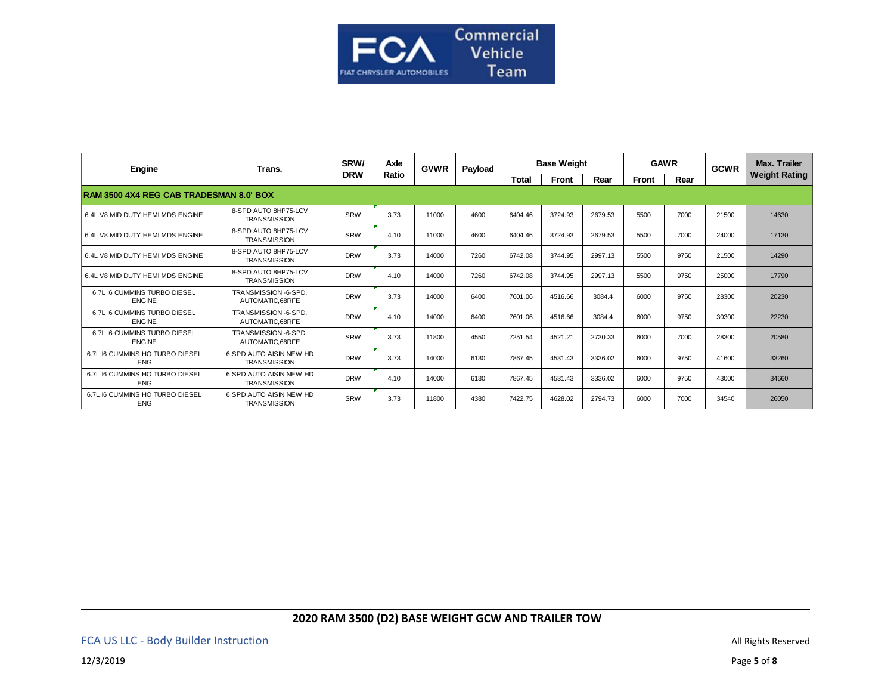

| Engine                                         | Trans.                                         | SRW/       | Axle<br>Ratio | <b>GVWR</b> | Payload | <b>Base Weight</b> |         |         | <b>GAWR</b> |      | <b>GCWR</b> | <b>Max. Trailer</b>  |  |
|------------------------------------------------|------------------------------------------------|------------|---------------|-------------|---------|--------------------|---------|---------|-------------|------|-------------|----------------------|--|
|                                                |                                                | <b>DRW</b> |               |             |         | <b>Total</b>       | Front   | Rear    | Front       | Rear |             | <b>Weight Rating</b> |  |
| <b>RAM 3500 4X4 REG CAB TRADESMAN 8.0' BOX</b> |                                                |            |               |             |         |                    |         |         |             |      |             |                      |  |
| 6.4L V8 MID DUTY HEMI MDS ENGINE               | 8-SPD AUTO 8HP75-LCV<br><b>TRANSMISSION</b>    | SRW        | 3.73          | 11000       | 4600    | 6404.46            | 3724.93 | 2679.53 | 5500        | 7000 | 21500       | 14630                |  |
| 6.4L V8 MID DUTY HEMI MDS ENGINE               | 8-SPD AUTO 8HP75-LCV<br><b>TRANSMISSION</b>    | SRW        | 4.10          | 11000       | 4600    | 6404.46            | 3724.93 | 2679.53 | 5500        | 7000 | 24000       | 17130                |  |
| 6.4L V8 MID DUTY HEMI MDS ENGINE               | 8-SPD AUTO 8HP75-LCV<br><b>TRANSMISSION</b>    | <b>DRW</b> | 3.73          | 14000       | 7260    | 6742.08            | 3744.95 | 2997.13 | 5500        | 9750 | 21500       | 14290                |  |
| 6.4L V8 MID DUTY HEMI MDS ENGINE               | 8-SPD AUTO 8HP75-LCV<br><b>TRANSMISSION</b>    | <b>DRW</b> | 4.10          | 14000       | 7260    | 6742.08            | 3744.95 | 2997.13 | 5500        | 9750 | 25000       | 17790                |  |
| 6.7L I6 CUMMINS TURBO DIESEL<br><b>ENGINE</b>  | TRANSMISSION -6-SPD.<br>AUTOMATIC.68RFE        | <b>DRW</b> | 3.73          | 14000       | 6400    | 7601.06            | 4516.66 | 3084.4  | 6000        | 9750 | 28300       | 20230                |  |
| 6.7L I6 CUMMINS TURBO DIESEL<br><b>ENGINE</b>  | TRANSMISSION -6-SPD.<br>AUTOMATIC.68RFE        | <b>DRW</b> | 4.10          | 14000       | 6400    | 7601.06            | 4516.66 | 3084.4  | 6000        | 9750 | 30300       | 22230                |  |
| 6.7L I6 CUMMINS TURBO DIESEL<br><b>ENGINE</b>  | TRANSMISSION -6-SPD.<br>AUTOMATIC.68RFE        | SRW        | 3.73          | 11800       | 4550    | 7251.54            | 4521.21 | 2730.33 | 6000        | 7000 | 28300       | 20580                |  |
| 6.7L I6 CUMMINS HO TURBO DIESEL<br><b>ENG</b>  | 6 SPD AUTO AISIN NEW HD<br><b>TRANSMISSION</b> | <b>DRW</b> | 3.73          | 14000       | 6130    | 7867.45            | 4531.43 | 3336.02 | 6000        | 9750 | 41600       | 33260                |  |
| 6.7L I6 CUMMINS HO TURBO DIESEL<br><b>ENG</b>  | 6 SPD AUTO AISIN NEW HD<br><b>TRANSMISSION</b> | <b>DRW</b> | 4.10          | 14000       | 6130    | 7867.45            | 4531.43 | 3336.02 | 6000        | 9750 | 43000       | 34660                |  |
| 6.7L I6 CUMMINS HO TURBO DIESEL<br><b>ENG</b>  | 6 SPD AUTO AISIN NEW HD<br><b>TRANSMISSION</b> | SRW        | 3.73          | 11800       | 4380    | 7422.75            | 4628.02 | 2794.73 | 6000        | 7000 | 34540       | 26050                |  |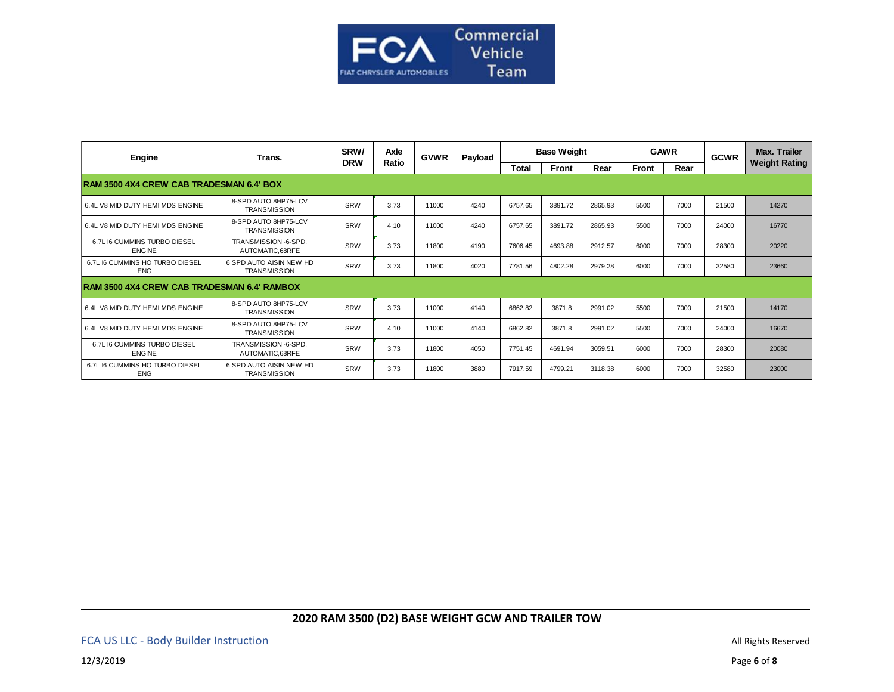

| Engine                                             | Trans.                                         | SRW/       | Axle<br>Ratio | <b>GVWR</b> | Payload | <b>Base Weight</b> |         |         | <b>GAWR</b>  |      | <b>GCWR</b> | Max. Trailer         |
|----------------------------------------------------|------------------------------------------------|------------|---------------|-------------|---------|--------------------|---------|---------|--------------|------|-------------|----------------------|
|                                                    |                                                | <b>DRW</b> |               |             |         | Total              | Front   | Rear    | <b>Front</b> | Rear |             | <b>Weight Rating</b> |
| <b>RAM 3500 4X4 CREW CAB TRADESMAN 6.4' BOX</b>    |                                                |            |               |             |         |                    |         |         |              |      |             |                      |
| 6.4L V8 MID DUTY HEMI MDS ENGINE                   | 8-SPD AUTO 8HP75-LCV<br><b>TRANSMISSION</b>    | SRW        | 3.73          | 11000       | 4240    | 6757.65            | 3891.72 | 2865.93 | 5500         | 7000 | 21500       | 14270                |
| 6.4L V8 MID DUTY HEMI MDS ENGINE                   | 8-SPD AUTO 8HP75-LCV<br><b>TRANSMISSION</b>    | SRW        | 4.10          | 11000       | 4240    | 6757.65            | 3891.72 | 2865.93 | 5500         | 7000 | 24000       | 16770                |
| 6.7L I6 CUMMINS TURBO DIESEL<br><b>ENGINE</b>      | TRANSMISSION -6-SPD.<br>AUTOMATIC.68RFE        | SRW        | 3.73          | 11800       | 4190    | 7606.45            | 4693.88 | 2912.57 | 6000         | 7000 | 28300       | 20220                |
| 6.7L I6 CUMMINS HO TURBO DIESEL<br><b>ENG</b>      | 6 SPD AUTO AISIN NEW HD<br><b>TRANSMISSION</b> | SRW        | 3.73          | 11800       | 4020    | 7781.56            | 4802.28 | 2979.28 | 6000         | 7000 | 32580       | 23660                |
| <b>RAM 3500 4X4 CREW CAB TRADESMAN 6.4' RAMBOX</b> |                                                |            |               |             |         |                    |         |         |              |      |             |                      |
| 6.4L V8 MID DUTY HEMI MDS ENGINE                   | 8-SPD AUTO 8HP75-LCV<br><b>TRANSMISSION</b>    | SRW        | 3.73          | 11000       | 4140    | 6862.82            | 3871.8  | 2991.02 | 5500         | 7000 | 21500       | 14170                |
| 6.4L V8 MID DUTY HEMI MDS ENGINE                   | 8-SPD AUTO 8HP75-LCV<br><b>TRANSMISSION</b>    | SRW        | 4.10          | 11000       | 4140    | 6862.82            | 3871.8  | 2991.02 | 5500         | 7000 | 24000       | 16670                |
| 6.7L I6 CUMMINS TURBO DIESEL<br><b>ENGINE</b>      | TRANSMISSION -6-SPD.<br>AUTOMATIC.68RFE        | SRW        | 3.73          | 11800       | 4050    | 7751.45            | 4691.94 | 3059.51 | 6000         | 7000 | 28300       | 20080                |
| 6.7L I6 CUMMINS HO TURBO DIESEL<br><b>ENG</b>      | 6 SPD AUTO AISIN NEW HD<br><b>TRANSMISSION</b> | SRW        | 3.73          | 11800       | 3880    | 7917.59            | 4799.21 | 3118.38 | 6000         | 7000 | 32580       | 23000                |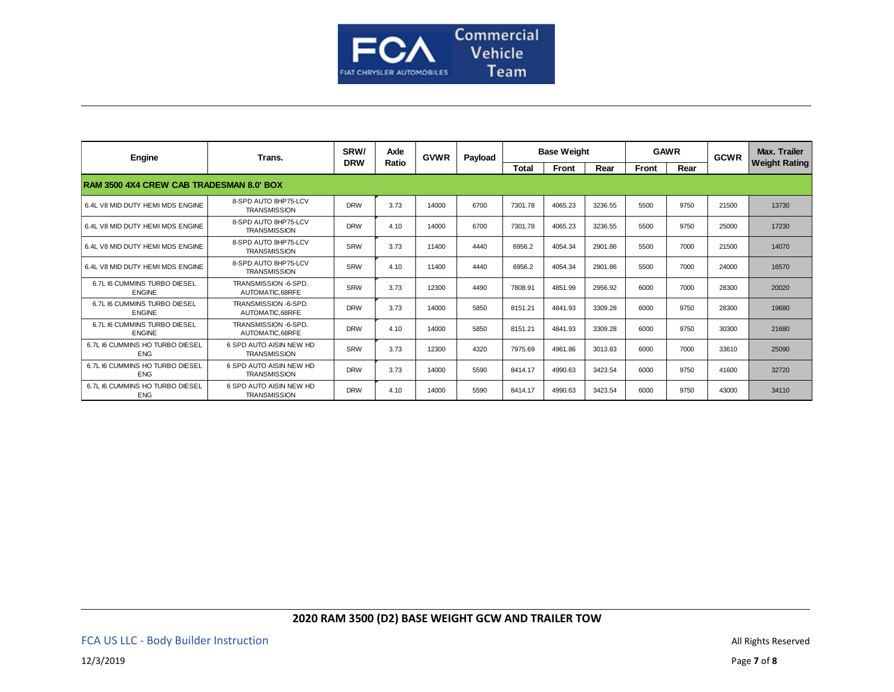

| Engine                                        | Trans.                                         | SRW/       | Axle  | <b>GVWR</b> | Payload | <b>Base Weight</b> |         |         | <b>GAWR</b> |      | <b>GCWR</b> | Max. Trailer         |  |  |
|-----------------------------------------------|------------------------------------------------|------------|-------|-------------|---------|--------------------|---------|---------|-------------|------|-------------|----------------------|--|--|
|                                               |                                                | <b>DRW</b> | Ratio |             |         | <b>Total</b>       | Front   | Rear    | Front       | Rear |             | <b>Weight Rating</b> |  |  |
| RAM 3500 4X4 CREW CAB TRADESMAN 8.0' BOX      |                                                |            |       |             |         |                    |         |         |             |      |             |                      |  |  |
| 6.4L V8 MID DUTY HEMI MDS ENGINE              | 8-SPD AUTO 8HP75-LCV<br><b>TRANSMISSION</b>    | <b>DRW</b> | 3.73  | 14000       | 6700    | 7301.78            | 4065.23 | 3236.55 | 5500        | 9750 | 21500       | 13730                |  |  |
| 6.4L V8 MID DUTY HEMI MDS ENGINE              | 8-SPD AUTO 8HP75-LCV<br><b>TRANSMISSION</b>    | <b>DRW</b> | 4.10  | 14000       | 6700    | 7301.78            | 4065.23 | 3236.55 | 5500        | 9750 | 25000       | 17230                |  |  |
| 6.4L V8 MID DUTY HEMI MDS ENGINE              | 8-SPD AUTO 8HP75-LCV<br><b>TRANSMISSION</b>    | SRW        | 3.73  | 11400       | 4440    | 6956.2             | 4054.34 | 2901.86 | 5500        | 7000 | 21500       | 14070                |  |  |
| 6.4L V8 MID DUTY HEMI MDS ENGINE              | 8-SPD AUTO 8HP75-LCV<br><b>TRANSMISSION</b>    | SRW        | 4.10  | 11400       | 4440    | 6956.2             | 4054.34 | 2901.86 | 5500        | 7000 | 24000       | 16570                |  |  |
| 6.7L I6 CUMMINS TURBO DIESEL<br><b>ENGINE</b> | TRANSMISSION -6-SPD.<br>AUTOMATIC.68RFE        | SRW        | 3.73  | 12300       | 4490    | 7808.91            | 4851.99 | 2956.92 | 6000        | 7000 | 28300       | 20020                |  |  |
| 6.7L I6 CUMMINS TURBO DIESEL<br><b>ENGINE</b> | TRANSMISSION -6-SPD.<br>AUTOMATIC.68RFE        | <b>DRW</b> | 3.73  | 14000       | 5850    | 8151.21            | 4841.93 | 3309.28 | 6000        | 9750 | 28300       | 19680                |  |  |
| 6.7L I6 CUMMINS TURBO DIESEL<br><b>ENGINE</b> | TRANSMISSION -6-SPD.<br>AUTOMATIC.68RFE        | <b>DRW</b> | 4.10  | 14000       | 5850    | 8151.21            | 4841.93 | 3309.28 | 6000        | 9750 | 30300       | 21680                |  |  |
| 6.7L I6 CUMMINS HO TURBO DIESEL<br><b>ENG</b> | 6 SPD AUTO AISIN NEW HD<br><b>TRANSMISSION</b> | SRW        | 3.73  | 12300       | 4320    | 7975.69            | 4961.86 | 3013.83 | 6000        | 7000 | 33610       | 25090                |  |  |
| 6.7L I6 CUMMINS HO TURBO DIESEL<br><b>ENG</b> | 6 SPD AUTO AISIN NEW HD<br><b>TRANSMISSION</b> | <b>DRW</b> | 3.73  | 14000       | 5590    | 8414.17            | 4990.63 | 3423.54 | 6000        | 9750 | 41600       | 32720                |  |  |
| 6.7L I6 CUMMINS HO TURBO DIESEL<br><b>ENG</b> | 6 SPD AUTO AISIN NEW HD<br><b>TRANSMISSION</b> | <b>DRW</b> | 4.10  | 14000       | 5590    | 8414.17            | 4990.63 | 3423.54 | 6000        | 9750 | 43000       | 34110                |  |  |